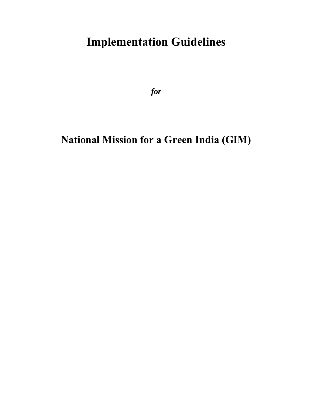# **Implementation Guidelines**

*for* 

# **National Mission for a Green India (GIM)**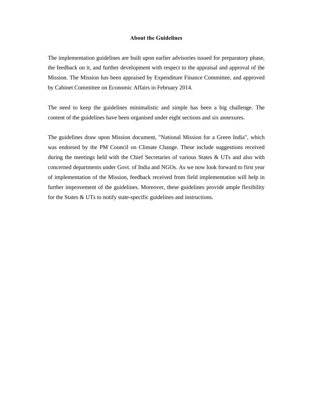#### **About the Guidelines**

The implementation guidelines are built upon earlier advisories issued for preparatory phase, the feedback on it, and further development with respect to the appraisal and approval of the Mission. The Mission has been appraised by Expenditure Finance Committee, and approved by Cabinet Committee on Economic Affairs in February 2014.

The need to keep the guidelines minimalistic and simple has been a big challenge. The content of the guidelines have been organised under eight sections and six annexures.

The guidelines draw upon Mission document, "National Mission for a Green India", which was endorsed by the PM Council on Climate Change. These include suggestions received during the meetings held with the Chief Secretaries of various States & UTs and also with concerned departments under Govt. of India and NGOs. As we now look forward to first year of implementation of the Mission, feedback received from field implementation will help in further improvement of the guidelines. Moreover, these guidelines provide ample flexibility for the States & UTs to notify state-specific guidelines and instructions.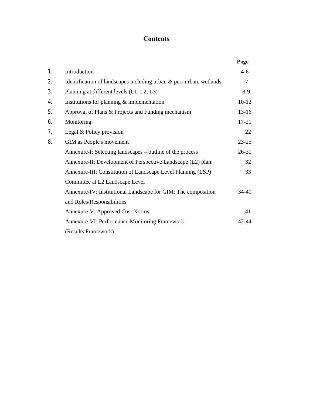# **Contents**

|    |                                                                     | Page      |
|----|---------------------------------------------------------------------|-----------|
| 1. | Introduction                                                        | $4-6$     |
| 2. | Identification of landscapes including urban & peri-urban, wetlands | $\tau$    |
| 3. | Planning at different levels (L1, L2, L3)                           | $8-9$     |
| 4. | Institutions for planning $&$ implementation                        | $10-12$   |
| 5. | Approval of Plans & Projects and Funding mechanism                  | $13 - 16$ |
| 6. | Monitoring                                                          | $17 - 21$ |
| 7. | Legal & Policy provision                                            | 22        |
| 8. | GIM as People's movement                                            | $23 - 25$ |
|    | Annexure-I: Selecting landscapes – outline of the process           | $26 - 31$ |
|    | Annexure-II: Development of Perspective Landscape (L2) plan:        | 32        |
|    | Annexure-III: Constitution of Landscape Level Planning (LSP)        | 33        |
|    | Committee at L2 Landscape Level                                     |           |
|    | Annexure-IV: Institutional Landscape for GIM: The composition       | 34-40     |
|    | and Roles/Responsibilities                                          |           |
|    | Annexure-V: Approved Cost Norms                                     | 41        |
|    | <b>Annexure-VI: Performance Monitoring Framework</b>                | $42 - 44$ |
|    | (Results Framework)                                                 |           |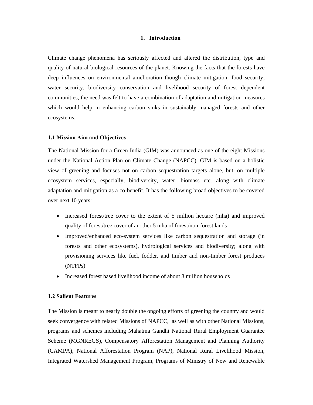#### **1. Introduction**

Climate change phenomena has seriously affected and altered the distribution, type and quality of natural biological resources of the planet. Knowing the facts that the forests have deep influences on environmental amelioration though climate mitigation, food security, water security, biodiversity conservation and livelihood security of forest dependent communities, the need was felt to have a combination of adaptation and mitigation measures which would help in enhancing carbon sinks in sustainably managed forests and other ecosystems.

#### **1.1 Mission Aim and Objectives**

The National Mission for a Green India (GIM) was announced as one of the eight Missions under the National Action Plan on Climate Change (NAPCC). GIM is based on a holistic view of greening and focuses not on carbon sequestration targets alone, but, on multiple ecosystem services, especially, biodiversity, water, biomass etc. along with climate adaptation and mitigation as a co-benefit. It has the following broad objectives to be covered over next 10 years:

- Increased forest/tree cover to the extent of 5 million hectare (mha) and improved quality of forest/tree cover of another 5 mha of forest/non-forest lands
- Improved/enhanced eco-system services like carbon sequestration and storage (in forests and other ecosystems), hydrological services and biodiversity; along with provisioning services like fuel, fodder, and timber and non-timber forest produces (NTFPs)
- Increased forest based livelihood income of about 3 million households

#### **1.2 Salient Features**

The Mission is meant to nearly double the ongoing efforts of greening the country and would seek convergence with related Missions of NAPCC, as well as with other National Missions, programs and schemes including Mahatma Gandhi National Rural Employment Guarantee Scheme (MGNREGS), Compensatory Afforestation Management and Planning Authority (CAMPA), National Afforestation Program (NAP), National Rural Livelihood Mission, Integrated Watershed Management Program, Programs of Ministry of New and Renewable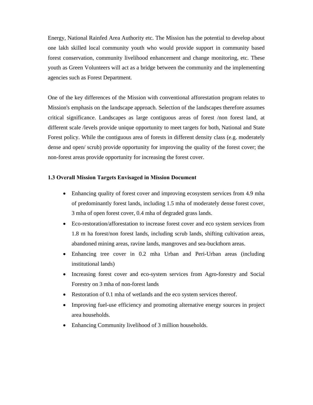Energy, National Rainfed Area Authority etc. The Mission has the potential to develop about one lakh skilled local community youth who would provide support in community based forest conservation, community livelihood enhancement and change monitoring, etc. These youth as Green Volunteers will act as a bridge between the community and the implementing agencies such as Forest Department.

One of the key differences of the Mission with conventional afforestation program relates to Mission's emphasis on the landscape approach. Selection of the landscapes therefore assumes critical significance. Landscapes as large contiguous areas of forest /non forest land, at different scale /levels provide unique opportunity to meet targets for both, National and State Forest policy. While the contiguous area of forests in different density class (e.g. moderately dense and open/ scrub) provide opportunity for improving the quality of the forest cover; the non-forest areas provide opportunity for increasing the forest cover.

## **1.3 Overall Mission Targets Envisaged in Mission Document**

- Enhancing quality of forest cover and improving ecosystem services from 4.9 mha of predominantly forest lands, including 1.5 mha of moderately dense forest cover, 3 mha of open forest cover, 0.4 mha of degraded grass lands.
- Eco-restoration/afforestation to increase forest cover and eco system services from 1.8 m ha forest/non forest lands, including scrub lands, shifting cultivation areas, abandoned mining areas, ravine lands, mangroves and sea-buckthorn areas.
- Enhancing tree cover in 0.2 mha Urban and Peri-Urban areas (including institutional lands)
- Increasing forest cover and eco-system services from Agro-forestry and Social Forestry on 3 mha of non-forest lands
- Restoration of 0.1 mha of wetlands and the eco system services thereof.
- Improving fuel-use efficiency and promoting alternative energy sources in project area households.
- Enhancing Community livelihood of 3 million households.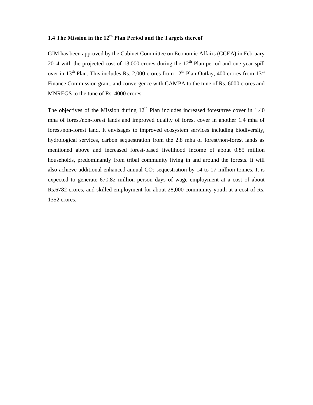# **1.4 The Mission in the 12th Plan Period and the Targets thereof**

GIM has been approved by the Cabinet Committee on Economic Affairs (CCEA**)** in February 2014 with the projected cost of 13,000 crores during the  $12<sup>th</sup>$  Plan period and one year spill over in 13<sup>th</sup> Plan. This includes Rs. 2,000 crores from 12<sup>th</sup> Plan Outlay, 400 crores from 13<sup>th</sup> Finance Commission grant, and convergence with CAMPA to the tune of Rs. 6000 crores and MNREGS to the tune of Rs. 4000 crores.

The objectives of the Mission during  $12<sup>th</sup>$  Plan includes increased forest/tree cover in 1.40 mha of forest/non-forest lands and improved quality of forest cover in another 1.4 mha of forest/non-forest land. It envisages to improved ecosystem services including biodiversity, hydrological services, carbon sequestration from the 2.8 mha of forest/non-forest lands as mentioned above and increased forest-based livelihood income of about 0.85 million households, predominantly from tribal community living in and around the forests. It will also achieve additional enhanced annual  $CO<sub>2</sub>$  sequestration by 14 to 17 million tonnes. It is expected to generate 670.82 million person days of wage employment at a cost of about Rs.6782 crores, and skilled employment for about 28,000 community youth at a cost of Rs. 1352 crores.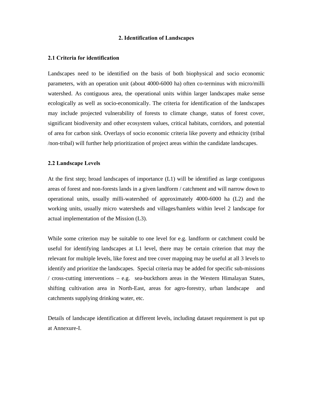#### **2. Identification of Landscapes**

#### **2.1 Criteria for identification**

Landscapes need to be identified on the basis of both biophysical and socio economic parameters, with an operation unit (about 4000-6000 ha) often co-terminus with micro/milli watershed. As contiguous area, the operational units within larger landscapes make sense ecologically as well as socio-economically. The criteria for identification of the landscapes may include projected vulnerability of forests to climate change, status of forest cover, significant biodiversity and other ecosystem values, critical habitats, corridors, and potential of area for carbon sink. Overlays of socio economic criteria like poverty and ethnicity (tribal /non-tribal) will further help prioritization of project areas within the candidate landscapes.

#### **2.2 Landscape Levels**

At the first step; broad landscapes of importance (L1) will be identified as large contiguous areas of forest and non-forests lands in a given landform / catchment and will narrow down to operational units, usually milli-watershed of approximately 4000-6000 ha (L2) and the working units, usually micro watersheds and villages/hamlets within level 2 landscape for actual implementation of the Mission (L3).

While some criterion may be suitable to one level for e.g. landform or catchment could be useful for identifying landscapes at L1 level, there may be certain criterion that may the relevant for multiple levels, like forest and tree cover mapping may be useful at all 3 levels to identify and prioritize the landscapes. Special criteria may be added for specific sub-missions / cross-cutting interventions – e.g. sea-buckthorn areas in the Western Himalayan States, shifting cultivation area in North-East, areas for agro-forestry, urban landscape and catchments supplying drinking water, etc.

Details of landscape identification at different levels, including dataset requirement is put up at Annexure-I.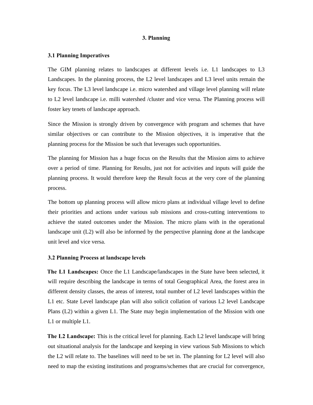#### **3. Planning**

#### **3.1 Planning Imperatives**

The GIM planning relates to landscapes at different levels i.e. L1 landscapes to L3 Landscapes. In the planning process, the L2 level landscapes and L3 level units remain the key focus. The L3 level landscape i.e. micro watershed and village level planning will relate to L2 level landscape i.e. milli watershed /cluster and vice versa. The Planning process will foster key tenets of landscape approach.

Since the Mission is strongly driven by convergence with program and schemes that have similar objectives or can contribute to the Mission objectives, it is imperative that the planning process for the Mission be such that leverages such opportunities.

The planning for Mission has a huge focus on the Results that the Mission aims to achieve over a period of time. Planning for Results, just not for activities and inputs will guide the planning process. It would therefore keep the Result focus at the very core of the planning process.

The bottom up planning process will allow micro plans at individual village level to define their priorities and actions under various sub missions and cross-cutting interventions to achieve the stated outcomes under the Mission. The micro plans with in the operational landscape unit (L2) will also be informed by the perspective planning done at the landscape unit level and vice versa.

#### **3.2 Planning Process at landscape levels**

**The L1 Landscapes:** Once the L1 Landscape/landscapes in the State have been selected, it will require describing the landscape in terms of total Geographical Area, the forest area in different density classes, the areas of interest, total number of L2 level landscapes within the L1 etc. State Level landscape plan will also solicit collation of various L2 level Landscape Plans (L2) within a given L1. The State may begin implementation of the Mission with one L1 or multiple L1.

**The L2 Landscape:** This is the critical level for planning. Each L2 level landscape will bring out situational analysis for the landscape and keeping in view various Sub Missions to which the L2 will relate to. The baselines will need to be set in. The planning for L2 level will also need to map the existing institutions and programs/schemes that are crucial for convergence,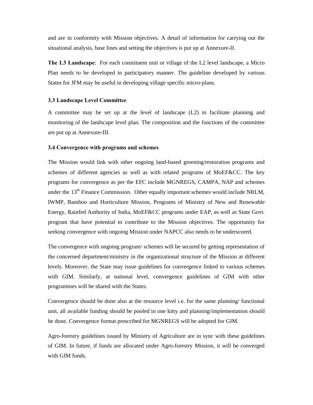and are in conformity with Mission objectives. A detail of information for carrying out the situational analysis, base lines and setting the objectives is put up at Annexure-II.

**The L3 Landscape**: For each constituent unit or village of the L2 level landscape, a Micro Plan needs to be developed in participatory manner. The guideline developed by various States for JFM may be useful in developing village specific micro-plans.

#### **3.3 Landscape Level Committee**

A committee may be set up at the level of landscape (L2) to facilitate planning and monitoring of the landscape level plan. The composition and the functions of the committee are put up at Annexure-III.

#### **3.4 Convergence with programs and schemes**

The Mission would link with other ongoing land-based greening/restoration programs and schemes of different agencies as well as with related programs of MoEF&CC. The key programs for convergence as per the EFC include MGNREGS, CAMPA, NAP and schemes under the  $13<sup>th</sup>$  Finance Commission. Other equally important schemes would include NRLM, IWMP, Bamboo and Horticulture Mission, Programs of Ministry of New and Renewable Energy, Rainfed Authority of India, MoEF&CC programs under EAP, as well as State Govt. program that have potential to contribute to the Mission objectives. The opportunity for seeking convergence with ongoing Mission under NAPCC also needs to be underscored.

The convergence with ongoing program/ schemes will be secured by getting representation of the concerned department/ministry in the organizational structure of the Mission at different levels. Moreover, the State may issue guidelines for convergence linked to various schemes with GIM. Similarly, at national level, convergence guidelines of GIM with other programmes will be shared with the States.

Convergence should be done also at the resource level i.e. for the same planning/ functional unit, all available funding should be pooled in one kitty and planning/implementation should be done. Convergence format prescribed for MGNREGS will be adopted for GIM.

Agro-forestry guidelines issued by Ministry of Agriculture are in sync with these guidelines of GIM. In future, if funds are allocated under Agro-forestry Mission, it will be converged with GIM funds.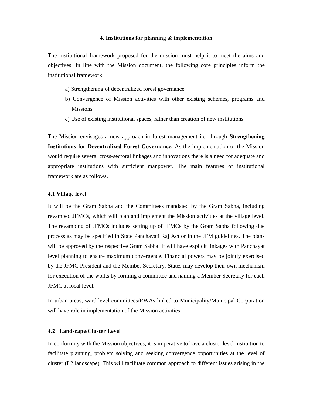#### **4. Institutions for planning & implementation**

The institutional framework proposed for the mission must help it to meet the aims and objectives. In line with the Mission document, the following core principles inform the institutional framework:

- a) Strengthening of decentralized forest governance
- b) Convergence of Mission activities with other existing schemes, programs and Missions
- c) Use of existing institutional spaces, rather than creation of new institutions

The Mission envisages a new approach in forest management i.e. through **Strengthening Institutions for Decentralized Forest Governance.** As the implementation of the Mission would require several cross-sectoral linkages and innovations there is a need for adequate and appropriate institutions with sufficient manpower. The main features of institutional framework are as follows.

#### **4.1 Village level**

It will be the Gram Sabha and the Committees mandated by the Gram Sabha, including revamped JFMCs, which will plan and implement the Mission activities at the village level. The revamping of JFMCs includes setting up of JFMCs by the Gram Sabha following due process as may be specified in State Panchayati Raj Act or in the JFM guidelines. The plans will be approved by the respective Gram Sabha. It will have explicit linkages with Panchayat level planning to ensure maximum convergence. Financial powers may be jointly exercised by the JFMC President and the Member Secretary. States may develop their own mechanism for execution of the works by forming a committee and naming a Member Secretary for each JFMC at local level.

In urban areas, ward level committees/RWAs linked to Municipality/Municipal Corporation will have role in implementation of the Mission activities.

#### **4.2 Landscape/Cluster Level**

In conformity with the Mission objectives, it is imperative to have a cluster level institution to facilitate planning, problem solving and seeking convergence opportunities at the level of cluster (L2 landscape). This will facilitate common approach to different issues arising in the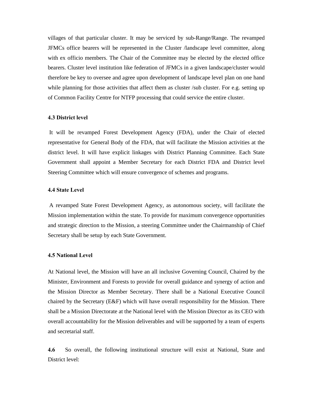villages of that particular cluster. It may be serviced by sub-Range/Range. The revamped JFMCs office bearers will be represented in the Cluster /landscape level committee, along with ex officio members. The Chair of the Committee may be elected by the elected office bearers. Cluster level institution like federation of JFMCs in a given landscape/cluster would therefore be key to oversee and agree upon development of landscape level plan on one hand while planning for those activities that affect them as cluster /sub cluster. For e.g. setting up of Common Facility Centre for NTFP processing that could service the entire cluster.

## **4.3 District level**

It will be revamped Forest Development Agency (FDA), under the Chair of elected representative for General Body of the FDA, that will facilitate the Mission activities at the district level. It will have explicit linkages with District Planning Committee. Each State Government shall appoint a Member Secretary for each District FDA and District level Steering Committee which will ensure convergence of schemes and programs.

## **4.4 State Level**

A revamped State Forest Development Agency, as autonomous society, will facilitate the Mission implementation within the state. To provide for maximum convergence opportunities and strategic direction to the Mission, a steering Committee under the Chairmanship of Chief Secretary shall be setup by each State Government.

## **4.5 National Level**

At National level, the Mission will have an all inclusive Governing Council, Chaired by the Minister, Environment and Forests to provide for overall guidance and synergy of action and the Mission Director as Member Secretary. There shall be a National Executive Council chaired by the Secretary (E&F) which will have overall responsibility for the Mission. There shall be a Mission Directorate at the National level with the Mission Director as its CEO with overall accountability for the Mission deliverables and will be supported by a team of experts and secretarial staff.

**4.6** So overall, the following institutional structure will exist at National, State and District level: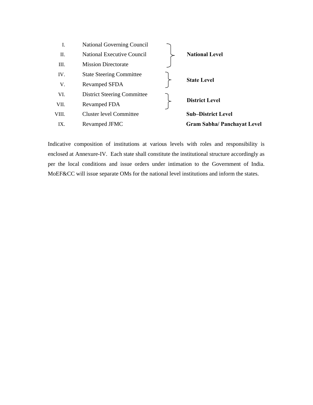| I.    | <b>National Governing Council</b>  |                                    |
|-------|------------------------------------|------------------------------------|
| П.    | <b>National Executive Council</b>  | <b>National Level</b>              |
| Ш.    | <b>Mission Directorate</b>         |                                    |
| IV.   | <b>State Steering Committee</b>    |                                    |
| V.    | <b>Revamped SFDA</b>               | <b>State Level</b>                 |
| VI.   | <b>District Steering Committee</b> |                                    |
| VII.  | Revamped FDA                       | <b>District Level</b>              |
| VIII. | <b>Cluster level Committee</b>     | <b>Sub-District Level</b>          |
| IX.   | Revamped JFMC                      | <b>Gram Sabha/ Panchayat Level</b> |
|       |                                    |                                    |

Indicative composition of institutions at various levels with roles and responsibility is enclosed at Annexure-IV. Each state shall constitute the institutional structure accordingly as per the local conditions and issue orders under intimation to the Government of India. MoEF&CC will issue separate OMs for the national level institutions and inform the states.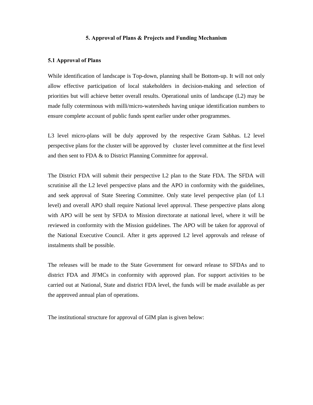#### **5. Approval of Plans & Projects and Funding Mechanism**

#### **5.1 Approval of Plans**

While identification of landscape is Top-down, planning shall be Bottom-up. It will not only allow effective participation of local stakeholders in decision-making and selection of priorities but will achieve better overall results. Operational units of landscape (L2) may be made fully coterminous with milli/micro-watersheds having unique identification numbers to ensure complete account of public funds spent earlier under other programmes.

L3 level micro-plans will be duly approved by the respective Gram Sabhas. L2 level perspective plans for the cluster will be approved by cluster level committee at the first level and then sent to FDA & to District Planning Committee for approval.

The District FDA will submit their perspective L2 plan to the State FDA. The SFDA will scrutinise all the L2 level perspective plans and the APO in conformity with the guidelines, and seek approval of State Steering Committee. Only state level perspective plan (of L1 level) and overall APO shall require National level approval. These perspective plans along with APO will be sent by SFDA to Mission directorate at national level, where it will be reviewed in conformity with the Mission guidelines. The APO will be taken for approval of the National Executive Council. After it gets approved L2 level approvals and release of instalments shall be possible.

The releases will be made to the State Government for onward release to SFDAs and to district FDA and JFMCs in conformity with approved plan. For support activities to be carried out at National, State and district FDA level, the funds will be made available as per the approved annual plan of operations.

The institutional structure for approval of GIM plan is given below: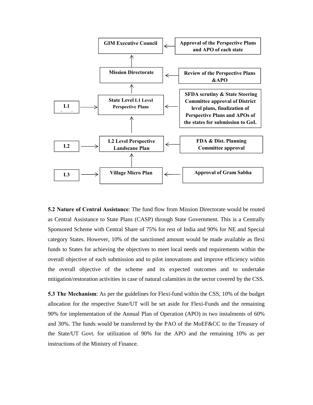

**5.2 Nature of Central Assistance**: The fund flow from Mission Directorate would be routed as Central Assistance to State Plans (CASP) through State Government. This is a Centrally Sponsored Scheme with Central Share of 75% for rest of India and 90% for NE and Special category States. However, 10% of the sanctioned amount would be made available as flexi funds to States for achieving the objectives to meet local needs and requirements within the overall objective of each submission and to pilot innovations and improve efficiency within the overall objective of the scheme and its expected outcomes and to undertake mitigation/restoration activities in case of natural calamities in the sector covered by the CSS.

**5.3 The Mechanism**: As per the guidelines for Flexi-fund within the CSS, 10% of the budget allocation for the respective State/UT will be set aside for Flexi-Funds and the remaining 90% for implementation of the Annual Plan of Operation (APO) in two instalments of 60% and 30%. The funds would be transferred by the PAO of the MoEF&CC to the Treasury of the State/UT Govt. for utilization of 90% for the APO and the remaining 10% as per instructions of the Ministry of Finance.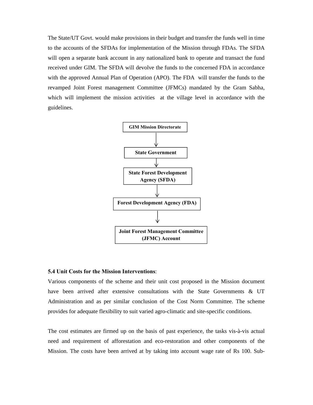The State/UT Govt. would make provisions in their budget and transfer the funds well in time to the accounts of the SFDAs for implementation of the Mission through FDAs. The SFDA will open a separate bank account in any nationalized bank to operate and transact the fund received under GIM. The SFDA will devolve the funds to the concerned FDA in accordance with the approved Annual Plan of Operation (APO). The FDA will transfer the funds to the revamped Joint Forest management Committee (JFMCs) mandated by the Gram Sabha, which will implement the mission activities at the village level in accordance with the guidelines.



#### **5.4 Unit Costs for the Mission Interventions**:

Various components of the scheme and their unit cost proposed in the Mission document have been arrived after extensive consultations with the State Governments & UT Administration and as per similar conclusion of the Cost Norm Committee. The scheme provides for adequate flexibility to suit varied agro-climatic and site-specific conditions.

The cost estimates are firmed up on the basis of past experience, the tasks vis-à-vis actual need and requirement of afforestation and eco-restoration and other components of the Mission. The costs have been arrived at by taking into account wage rate of Rs 100. Sub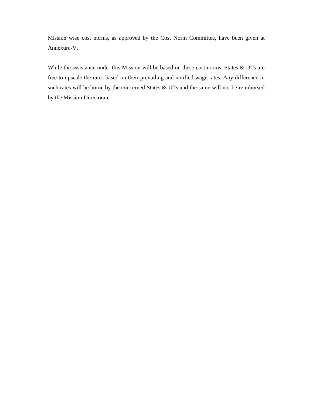Mission wise cost norms, as approved by the Cost Norm Committee, have been given at Annexure-V.

While the assistance under this Mission will be based on these cost norms, States & UTs are free to upscale the rates based on their prevailing and notified wage rates. Any difference in such rates will be borne by the concerned States & UTs and the same will not be reimbursed by the Mission Directorate.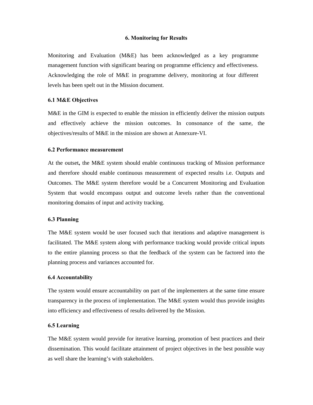#### **6. Monitoring for Results**

Monitoring and Evaluation (M&E) has been acknowledged as a key programme management function with significant bearing on programme efficiency and effectiveness. Acknowledging the role of M&E in programme delivery, monitoring at four different levels has been spelt out in the Mission document.

## **6.1 M&E Objectives**

M&E in the GIM is expected to enable the mission in efficiently deliver the mission outputs and effectively achieve the mission outcomes. In consonance of the same, the objectives/results of M&E in the mission are shown at Annexure-VI.

#### **6.2 Performance measurement**

At the outset**,** the M&E system should enable continuous tracking of Mission performance and therefore should enable continuous measurement of expected results i.e. Outputs and Outcomes. The M&E system therefore would be a Concurrent Monitoring and Evaluation System that would encompass output and outcome levels rather than the conventional monitoring domains of input and activity tracking.

#### **6.3 Planning**

The M&E system would be user focused such that iterations and adaptive management is facilitated. The M&E system along with performance tracking would provide critical inputs to the entire planning process so that the feedback of the system can be factored into the planning process and variances accounted for.

#### **6.4 Accountability**

The system would ensure accountability on part of the implementers at the same time ensure transparency in the process of implementation. The M&E system would thus provide insights into efficiency and effectiveness of results delivered by the Mission.

#### **6.5 Learning**

The M&E system would provide for iterative learning, promotion of best practices and their dissemination. This would facilitate attainment of project objectives in the best possible way as well share the learning's with stakeholders.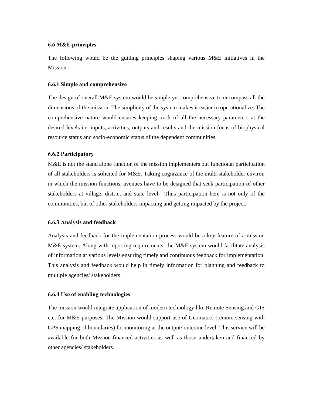#### **6.6 M&E principles**

The following would be the guiding principles shaping various M&E initiatives in the Mission.

#### **6.6.1 Simple and comprehensive**

The design of overall M&E system would be simple yet comprehensive to encompass all the dimensions of the mission. The simplicity of the system makes it easier to operationalize. The comprehensive nature would ensures keeping track of all the necessary parameters at the desired levels i.e. inputs, activities, outputs and results and the mission focus of biophysical resource status and socio-economic status of the dependent communities.

#### **6.6.2 Participatory**

M&E is not the stand alone function of the mission implementers but functional participation of all stakeholders is solicited for M&E. Taking cognizance of the multi-stakeholder environ in which the mission functions, avenues have to be designed that seek participation of other stakeholders at village, district and state level. Thus participation here is not only of the communities, but of other stakeholders impacting and getting impacted by the project.

#### **6.6.3 Analysis and feedback**

Analysis and feedback for the implementation process would be a key feature of a mission M&E system. Along with reporting requirements, the M&E system would facilitate analysis of information at various levels ensuring timely and continuous feedback for implementation. This analysis and feedback would help in timely information for planning and feedback to multiple agencies/ stakeholders.

#### **6.6.4 Use of enabling technologies**

The mission would integrate application of modern technology like Remote Sensing and GIS etc. for M&E purposes. The Mission would support use of Geomatics (remote sensing with GPS mapping of boundaries) for monitoring at the output/ outcome level. This service will be available for both Mission-financed activities as well as those undertaken and financed by other agencies/ stakeholders.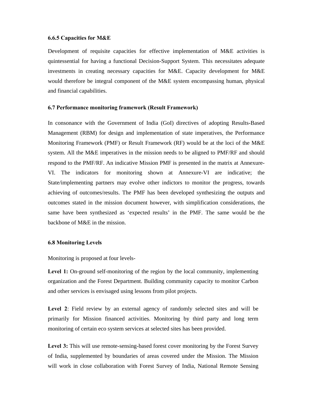#### **6.6.5 Capacities for M&E**

Development of requisite capacities for effective implementation of M&E activities is quintessential for having a functional Decision-Support System. This necessitates adequate investments in creating necessary capacities for M&E. Capacity development for M&E would therefore be integral component of the M&E system encompassing human, physical and financial capabilities.

#### **6.7 Performance monitoring framework (Result Framework)**

In consonance with the Government of India (GoI) directives of adopting Results-Based Management (RBM) for design and implementation of state imperatives, the Performance Monitoring Framework (PMF) or Result Framework (RF) would be at the loci of the M&E system. All the M&E imperatives in the mission needs to be aligned to PMF/RF and should respond to the PMF/RF. An indicative Mission PMF is presented in the matrix at Annexure-VI. The indicators for monitoring shown at Annexure-VI are indicative; the State/implementing partners may evolve other indictors to monitor the progress, towards achieving of outcomes/results. The PMF has been developed synthesizing the outputs and outcomes stated in the mission document however, with simplification considerations, the same have been synthesized as 'expected results' in the PMF. The same would be the backbone of M&E in the mission.

#### **6.8 Monitoring Levels**

Monitoring is proposed at four levels-

**Level 1:** On-ground self-monitoring of the region by the local community, implementing organization and the Forest Department. Building community capacity to monitor Carbon and other services is envisaged using lessons from pilot projects.

Level 2: Field review by an external agency of randomly selected sites and will be primarily for Mission financed activities. Monitoring by third party and long term monitoring of certain eco system services at selected sites has been provided.

Level 3: This will use remote-sensing-based forest cover monitoring by the Forest Survey of India, supplemented by boundaries of areas covered under the Mission. The Mission will work in close collaboration with Forest Survey of India, National Remote Sensing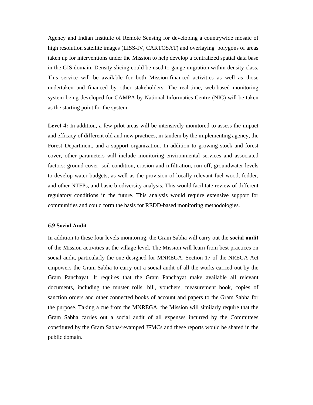Agency and Indian Institute of Remote Sensing for developing a countrywide mosaic of high resolution satellite images (LISS-IV, CARTOSAT) and overlaying polygons of areas taken up for interventions under the Mission to help develop a centralized spatial data base in the GIS domain. Density slicing could be used to gauge migration within density class. This service will be available for both Mission-financed activities as well as those undertaken and financed by other stakeholders. The real-time, web-based monitoring system being developed for CAMPA by National Informatics Centre (NIC) will be taken as the starting point for the system.

**Level 4:** In addition, a few pilot areas will be intensively monitored to assess the impact and efficacy of different old and new practices, in tandem by the implementing agency, the Forest Department, and a support organization. In addition to growing stock and forest cover, other parameters will include monitoring environmental services and associated factors: ground cover, soil condition, erosion and infiltration, run-off, groundwater levels to develop water budgets, as well as the provision of locally relevant fuel wood, fodder, and other NTFPs, and basic biodiversity analysis. This would facilitate review of different regulatory conditions in the future. This analysis would require extensive support for communities and could form the basis for REDD-based monitoring methodologies.

#### **6.9 Social Audit**

In addition to these four levels monitoring, the Gram Sabha will carry out the **social audit** of the Mission activities at the village level. The Mission will learn from best practices on social audit, particularly the one designed for MNREGA. Section 17 of the NREGA Act empowers the Gram Sabha to carry out a social audit of all the works carried out by the Gram Panchayat. It requires that the Gram Panchayat make available all relevant documents, including the muster rolls, bill, vouchers, measurement book, copies of sanction orders and other connected books of account and papers to the Gram Sabha for the purpose. Taking a cue from the MNREGA, the Mission will similarly require that the Gram Sabha carries out a social audit of all expenses incurred by the Committees constituted by the Gram Sabha/revamped JFMCs and these reports would be shared in the public domain.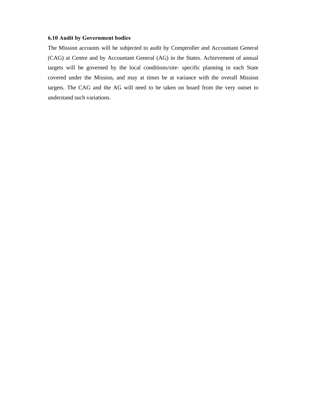## **6.10 Audit by Government bodies**

The Mission accounts will be subjected to audit by Comptroller and Accountant General (CAG) at Centre and by Accountant General (AG) in the States. Achievement of annual targets will be governed by the local conditions/site- specific planning in each State covered under the Mission, and may at times be at variance with the overall Mission targets. The CAG and the AG will need to be taken on board from the very outset to understand such variations.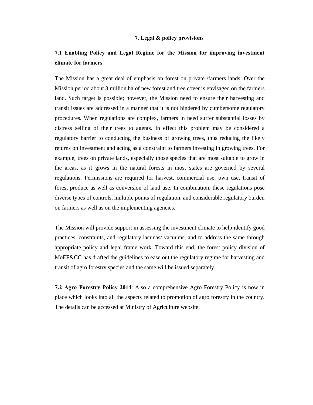#### **7**. **Legal & policy provisions**

# **7.1 Enabling Policy and Legal Regime for the Mission for improving investment climate for farmers**

The Mission has a great deal of emphasis on forest on private /farmers lands. Over the Mission period about 3 million ha of new forest and tree cover is envisaged on the farmers land. Such target is possible; however, the Mission need to ensure their harvesting and transit issues are addressed in a manner that it is not hindered by cumbersome regulatory procedures. When regulations are complex, farmers in need suffer substantial losses by distress selling of their trees to agents. In effect this problem may be considered a regulatory barrier to conducting the business of growing trees, thus reducing the likely returns on investment and acting as a constraint to farmers investing in growing trees. For example, trees on private lands, especially those species that are most suitable to grow in the areas, as it grows in the natural forests in most states are governed by several regulations. Permissions are required for harvest, commercial use, own use, transit of forest produce as well as conversion of land use. In combination, these regulations pose diverse types of controls, multiple points of regulation, and considerable regulatory burden on farmers as well as on the implementing agencies.

The Mission will provide support in assessing the investment climate to help identify good practices, constraints, and regulatory lacunas/ vacuums, and to address the same through appropriate policy and legal frame work. Toward this end, the forest policy division of MoEF&CC has drafted the guidelines to ease out the regulatory regime for harvesting and transit of agro forestry species and the same will be issued separately.

**7.2 Agro Forestry Policy 2014**: Also a comprehensive Agro Forestry Policy is now in place which looks into all the aspects related to promotion of agro forestry in the country. The details can be accessed at Ministry of Agriculture website.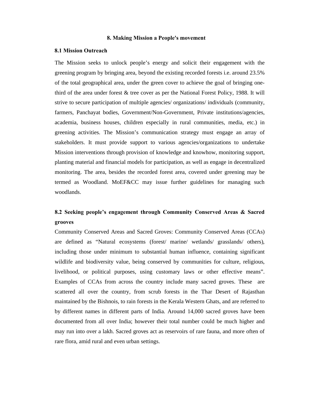#### **8. Making Mission a People's movement**

#### **8.1 Mission Outreach**

The Mission seeks to unlock people's energy and solicit their engagement with the greening program by bringing area, beyond the existing recorded forests i.e. around 23.5% of the total geographical area, under the green cover to achieve the goal of bringing onethird of the area under forest & tree cover as per the National Forest Policy, 1988. It will strive to secure participation of multiple agencies/ organizations/ individuals (community, farmers, Panchayat bodies, Government/Non-Government, Private institutions/agencies, academia, business houses, children especially in rural communities, media, etc.) in greening activities. The Mission's communication strategy must engage an array of stakeholders. It must provide support to various agencies/organizations to undertake Mission interventions through provision of knowledge and knowhow, monitoring support, planting material and financial models for participation, as well as engage in decentralized monitoring. The area, besides the recorded forest area, covered under greening may be termed as Woodland. MoEF&CC may issue further guidelines for managing such woodlands.

# **8.2 Seeking people's engagement through Community Conserved Areas & Sacred grooves**

Community Conserved Areas and Sacred Groves: Community Conserved Areas (CCAs) are defined as "Natural ecosystems (forest/ marine/ wetlands/ grasslands/ others), including those under minimum to substantial human influence, containing significant wildlife and biodiversity value, being conserved by communities for culture, religious, livelihood, or political purposes, using customary laws or other effective means". Examples of CCAs from across the country include many sacred groves. These are scattered all over the country, from scrub forests in the Thar Desert of Rajasthan maintained by the Bishnois, to rain forests in the Kerala Western Ghats, and are referred to by different names in different parts of India. Around 14,000 sacred groves have been documented from all over India; however their total number could be much higher and may run into over a lakh. Sacred groves act as reservoirs of rare fauna, and more often of rare flora, amid rural and even urban settings.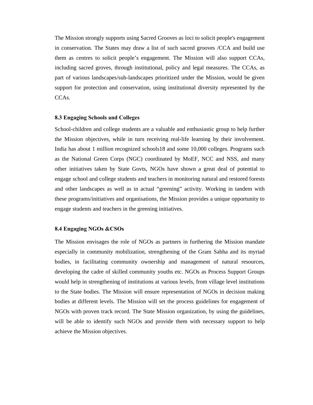The Mission strongly supports using Sacred Grooves as loci to solicit people's engagement in conservation. The States may draw a list of such sacred grooves /CCA and build use them as centres to solicit people's engagement. The Mission will also support CCAs, including sacred groves, through institutional, policy and legal measures. The CCAs, as part of various landscapes/sub-landscapes prioritized under the Mission, would be given support for protection and conservation, using institutional diversity represented by the CCAs.

#### **8.3 Engaging Schools and Colleges**

School-children and college students are a valuable and enthusiastic group to help further the Mission objectives, while in turn receiving real-life learning by their involvement. India has about 1 million recognized schools18 and some 10,000 colleges. Programs such as the National Green Corps (NGC) coordinated by MoEF, NCC and NSS, and many other initiatives taken by State Govts, NGOs have shown a great deal of potential to engage school and college students and teachers in monitoring natural and restored forests and other landscapes as well as in actual "greening" activity. Working in tandem with these programs/initiatives and organisations, the Mission provides a unique opportunity to engage students and teachers in the greening initiatives.

#### **8.4 Engaging NGOs &CSOs**

The Mission envisages the role of NGOs as partners in furthering the Mission mandate especially in community mobilization, strengthening of the Gram Sabha and its myriad bodies, in facilitating community ownership and management of natural resources, developing the cadre of skilled community youths etc. NGOs as Process Support Groups would help in strengthening of institutions at various levels, from village level institutions to the State bodies. The Mission will ensure representation of NGOs in decision making bodies at different levels. The Mission will set the process guidelines for engagement of NGOs with proven track record. The State Mission organization, by using the guidelines, will be able to identify such NGOs and provide them with necessary support to help achieve the Mission objectives.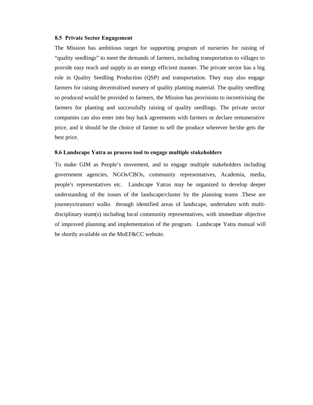#### **8.5 Private Sector Engagement**

The Mission has ambitious target for supporting program of nurseries for raising of "quality seedlings" to meet the demands of farmers, including transportation to villages to provide easy reach and supply in an energy efficient manner. The private sector has a big role in Quality Seedling Production (QSP) and transportation. They may also engage farmers for raising decentralised nursery of quality planting material. The quality seedling so produced would be provided to farmers, the Mission has provisions to incentivising the farmers for planting and successfully raising of quality seedlings. The private sector companies can also enter into buy back agreements with farmers or declare remunerative price, and it should be the choice of farmer to sell the produce wherever he/she gets the best price.

#### **8.6 Landscape Yatra as process tool to engage multiple stakeholders**

To make GIM as People's movement, and to engage multiple stakeholders including government agencies, NGOs/CBOs, community representatives, Academia, media, people's representatives etc. Landscape Yatras may be organized to develop deeper understanding of the issues of the landscape/cluster by the planning teams .These are journeys/transect walks through identified areas of landscape, undertaken with multidisciplinary team(s) including local community representatives, with immediate objective of improved planning and implementation of the program. Landscape Yatra manual will be shortly available on the MoEF&CC website.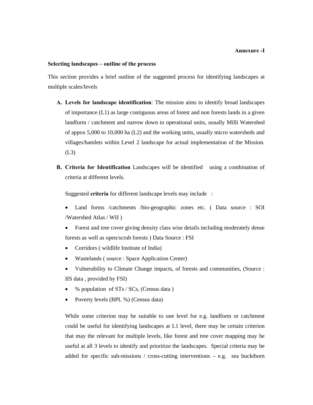#### **Annexure -I**

#### **Selecting landscapes – outline of the process**

This section provides a brief outline of the suggested process for identifying landscapes at multiple scales/levels

- **A. Levels for landscape identification**: The mission aims to identify broad landscapes of importance (L1) as large contiguous areas of forest and non forests lands in a given landform / catchment and narrow down to operational units, usually Milli Watershed of appox 5,000 to 10,000 ha (L2) and the working units, usually micro watersheds and villages/hamlets within Level 2 landscape for actual implementation of the Mission. (L3)
- **B. Criteria for Identification** Landscapes will be identified using a combination of criteria at different levels.

Suggested **criteria** for different landscape levels may include :

- Land forms /catchments /bio-geographic zones etc. ( Data source : SOI /Watershed Atlas / WII )
- Forest and tree cover giving density class wise details including moderately dense forests as well as open/scrub forests ) Data Source : FSI
- Corridors ( wildlife Institute of India)
- Wastelands ( source : Space Application Center)
- Vulnerability to Climate Change impacts, of forests and communities, (Source : IIS data , provided by FSI)
- % population of STs / SCs, (Census data )
- Poverty levels (BPL %) (Census data)

While some criterion may be suitable to one level for e.g. landform or catchment could be useful for identifying landscapes at L1 level, there may be certain criterion that may the relevant for multiple levels, like forest and tree cover mapping may be useful at all 3 levels to identify and prioritize the landscapes. Special criteria may be added for specific sub-missions / cross-cutting interventions  $-$  e.g. sea buckthorn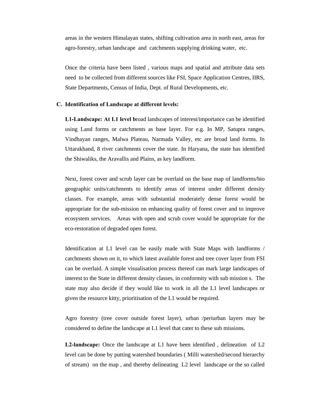areas in the western Himalayan states, shifting cultivation area in north east, areas for agro-forestry, urban landscape and catchments supplying drinking water, etc.

Once the criteria have been listed , various maps and spatial and attribute data sets need to be collected from different sources like FSI, Space Application Centres, IIRS, State Departments, Census of India, Dept. of Rural Developments, etc.

#### **C. Identification of Landscape at different levels:**

**L1-Landscape: At L1 level b**road landscapes of interest/importance can be identified using Land forms or catchments as base layer. For e.g. In MP, Satupra ranges, Vindhayan ranges, Malwa Plateau, Narmada Valley, etc are broad land forms. In Uttarakhand, 8 river catchments cover the state. In Haryana, the state has identified the Shiwaliks, the Aravallis and Plains, as key landform.

Next, forest cover and scrub layer can be overlaid on the base map of landforms/bio geographic units/catchments to identify areas of interest under different density classes. For example, areas with substantial moderately dense forest would be appropriate for the sub-mission on enhancing quality of forest cover and to improve ecosystem services. Areas with open and scrub cover would be appropriate for the eco-restoration of degraded open forest.

Identification at L1 level can be easily made with State Maps with landforms / catchments shown on it, to which latest available forest and tree cover layer from FSI can be overlaid. A simple visualisation process thereof can mark large landscapes of interest to the State in different density classes, in conformity with sub mission s. The state may also decide if they would like to work in all the L1 level landscapes or given the resource kitty, prioritisation of the L1 would be required.

Agro forestry (tree cover outside forest layer), urban /periurban layers may be considered to define the landscape at L1 level that cater to these sub missions.

**L2-landscape:** Once the landscape at L1 have been identified , delineation of L2 level can be done by putting watershed boundaries ( Milli watershed/second hierarchy of stream) on the map , and thereby delineating L2 level landscape or the so called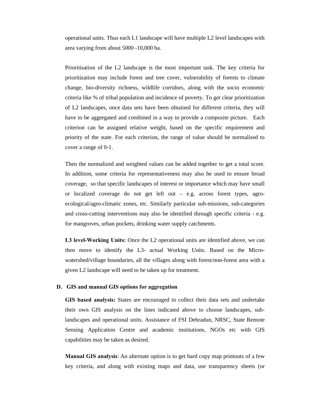operational units. Thus each L1 landscape will have multiple L2 level landscapes with area varying from about 5000 -10,000 ha.

Prioritisation of the L2 landscape is the most important task. The key criteria for prioritization may include forest and tree cover, vulnerability of forests to climate change, bio-diversity richness, wildlife corridors, along with the socio economic criteria like % of tribal population and incidence of poverty. To get clear prioritization of L2 landscapes, once data sets have been obtained for different criteria, they will have to be aggregated and combined in a way to provide a composite picture. Each criterion can be assigned relative weight, based on the specific requirement and priority of the state. For each criterion, the range of value should be normalised to cover a range of 0-1.

Then the normalized and weighted values can be added together to get a total score. In addition, some criteria for representativeness may also be used to ensure broad coverage, so that specific landscapes of interest or importance which may have small or localized coverage do not get left out – e.g. across forest types, agroecological/agro-climatic zones, etc. Similarly particular sub-missions, sub-categories and cross-cutting interventions may also be identified through specific criteria - e.g. for mangroves, urban pockets, drinking water supply catchments.

**L3 level-Working Units:** Once the L2 operational units are identified above, we can then move to identify the L3- actual Working Units. Based on the Microwatershed/village boundaries, all the villages along with forest/non-forest area with a given L2 landscape will need to be taken up for treatment.

#### **D. GIS and manual GIS options for aggregation**

**GIS based analysis:** States are encouraged to collect their data sets and undertake their own GIS analysis on the lines indicated above to choose landscapes, sublandscapes and operational units. Assistance of FSI Dehradun, NRSC, State Remote Sensing Application Centre and academic institutions, NGOs etc with GIS capabilities may be taken as desired.

**Manual GIS analysis**: An alternate option is to get hard copy map printouts of a few key criteria, and along with existing maps and data, use transparency sheets (or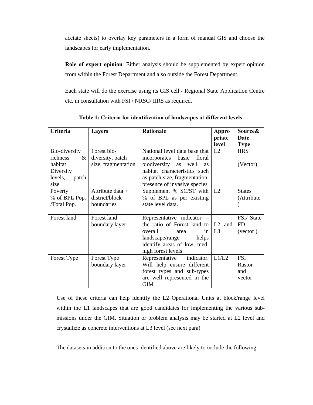acetate sheets) to overlay key parameters in a form of manual GIS and choose the landscapes for early implementation.

**Role of expert opinion**: Either analysis should be supplemented by expert opinion from within the Forest Department and also outside the Forest Department.

Each state will do the exercise using its GIS cell / Regional State Application Centre etc. in consultation with FSI / NRSC/ IIRS as required.

| Criteria         | <b>Layers</b>       | <b>Rationale</b>                      | Appro          | Source&           |
|------------------|---------------------|---------------------------------------|----------------|-------------------|
|                  |                     |                                       | priate         | Date              |
|                  |                     |                                       | level          | <b>Type</b>       |
| Bio-diversity    | Forest bio-         | National level data base that         | L2             | <b>IIRS</b>       |
| richness<br>$\&$ | diversity, patch    | incorporates basic<br>floral          |                |                   |
| habitat          | size, fragmentation | biodiversity as<br>well<br><b>as</b>  |                | (Vector)          |
| Diversity        |                     | habitat characteristics such          |                |                   |
| levels,<br>patch |                     | as patch size, fragmentation,         |                |                   |
| size             |                     | presence of invasive species          |                |                   |
| Poverty          | Attribute data $+$  | Supplement % SC/ST with               | L <sub>2</sub> | <b>States</b>     |
| % of BPL Pop.    | district/block      | % of BPL as per existing              |                | (Attribute        |
| /Total Pop.      | boundaries          | state level data.                     |                |                   |
|                  |                     |                                       |                |                   |
| Forest land      | Forest land         | Representative indicator –            |                | FSI/State         |
|                  | boundary layer      | the ratio of Forest land to $ L2$ and |                | FD                |
|                  |                     | overall<br>in<br>area                 | L <sub>3</sub> | $(\text{vector})$ |
|                  |                     | landscape/range<br>helps              |                |                   |
|                  |                     | identify areas of low, med,           |                |                   |
|                  |                     | high forest levels                    |                |                   |
| Forest Type      | Forest Type         | Representative indicator.             | L1/L2          | <b>FSI</b>        |
|                  | boundary layer      | Will help ensure different            |                | Rastor            |
|                  |                     | forest types and sub-types            |                | and               |
|                  |                     | are well represented in the           |                | vector            |
|                  |                     | <b>GIM</b>                            |                |                   |

**Table 1: Criteria for identification of landscapes at different levels** 

Use of these criteria can help identify the L2 Operational Units at block/range level within the L1 landscapes that are good candidates for implementing the various submissions under the GIM. Situation or problem analysis may be started at L2 level and crystallize as concrete interventions at L3 level (see next para)

The datasets in addition to the ones identified above are likely to include the following: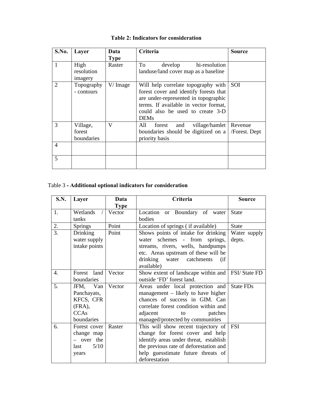| S.No.          | Layer                            | Data        | Criteria                                                                                                                                                                                                          | <b>Source</b>            |
|----------------|----------------------------------|-------------|-------------------------------------------------------------------------------------------------------------------------------------------------------------------------------------------------------------------|--------------------------|
|                |                                  | <b>Type</b> |                                                                                                                                                                                                                   |                          |
|                | High<br>resolution<br>imagery    | Raster      | hi-resolution<br>To<br>develop<br>landuse/land cover map as a baseline                                                                                                                                            |                          |
| 2              | Topography<br>- contours         | $V/$ Image  | Will help correlate topography with<br>forest cover and identify forests that<br>are under-represented in topographic<br>terms. If available in vector format,<br>could also be used to create 3-D<br><b>DEMs</b> | SOI                      |
| 3              | Village,<br>forest<br>boundaries | V           | village/hamlet<br>All<br>forest<br>and<br>boundaries should be digitized on a<br>priority basis                                                                                                                   | Revenue<br>/Forest. Dept |
| $\overline{4}$ |                                  |             |                                                                                                                                                                                                                   |                          |
| 5              |                                  |             |                                                                                                                                                                                                                   |                          |

# **Table 2: Indicators for consideration**

# Table 3 **- Additional optional indicators for consideration**

| <b>S.N.</b> | Layer                                                                          | Data        | Criteria                                                                                                                                                                                                           | <b>Source</b>          |
|-------------|--------------------------------------------------------------------------------|-------------|--------------------------------------------------------------------------------------------------------------------------------------------------------------------------------------------------------------------|------------------------|
|             |                                                                                | <b>Type</b> |                                                                                                                                                                                                                    |                        |
| 1.          | Wetlands                                                                       | Vector      | Location or Boundary of water                                                                                                                                                                                      | <b>State</b>           |
|             | tanks                                                                          |             | bodies                                                                                                                                                                                                             |                        |
| 2.          | <b>Springs</b>                                                                 | Point       | Location of springs (if available)                                                                                                                                                                                 | <b>State</b>           |
| 3.          | Drinking<br>water supply<br>intake points                                      | Point       | Shows points of intake for drinking<br>water schemes - from springs,<br>streams, rivers, wells, handpumps<br>etc. Areas upstream of these will be<br>drinking water catchments<br>(if                              | Water supply<br>depts. |
| 4.          | Forest land                                                                    | Vector      | available)<br>Show extent of landscape within and   FSI/ State FD                                                                                                                                                  |                        |
|             | boundaries                                                                     |             | outside 'FD' forest land.                                                                                                                                                                                          |                        |
| 5.          | JFM, Van<br>Panchayats,<br>KFCS, CFR<br>$(FRA)$ ,<br><b>CCAs</b><br>boundaries | Vector      | Areas under local protection and<br>management – likely to have higher<br>chances of success in GIM. Can<br>correlate forest condition within and<br>adjacent<br>patches<br>to<br>managed/protected by communities | State FDs              |
| 6.          | Forest cover<br>change map<br>- over the<br>5/10<br>last<br>years              | Raster      | This will show recent trajectory of<br>change for forest cover and help<br>identify areas under threat, establish<br>the previous rate of deforestation and<br>help guesstimate future threats of<br>deforestation | <b>FSI</b>             |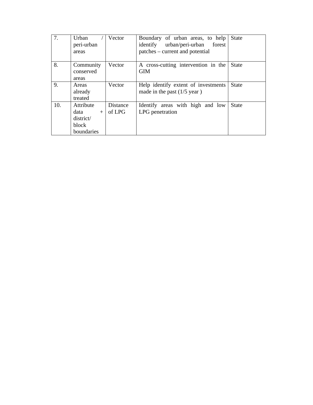| 7.  | Urban<br>peri-urban<br>areas                                 | Vector             | Boundary of urban areas, to help<br>urban/peri-urban<br>identify<br>forest<br>patches – current and potential | <b>State</b> |
|-----|--------------------------------------------------------------|--------------------|---------------------------------------------------------------------------------------------------------------|--------------|
| 8.  | Community<br>conserved<br>areas                              | Vector             | A cross-cutting intervention in the<br><b>GIM</b>                                                             | <b>State</b> |
| 9.  | Areas<br>already<br>treated                                  | Vector             | Help identify extent of investments<br>made in the past $(1/5$ year)                                          | <b>State</b> |
| 10. | Attribute<br>data<br>$+$<br>district/<br>block<br>boundaries | Distance<br>of LPG | Identify areas with high and low<br>LPG penetration                                                           | <b>State</b> |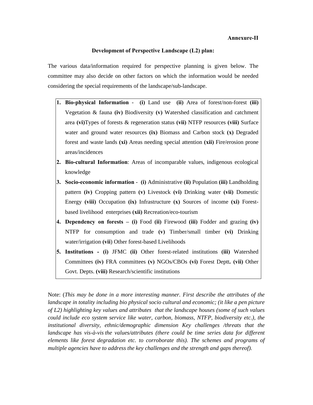## **Development of Perspective Landscape (L2) plan:**

The various data/information required for perspective planning is given below. The committee may also decide on other factors on which the information would be needed considering the special requirements of the landscape/sub-landscape.

- **1. Bio-physical Information (i)** Land use **(ii)** Area of forest/non-forest **(iii)** Vegetation & fauna **(iv)** Biodiversity **(v)** Watershed classification and catchment area **(vi)**Types of forests & regeneration status **(vii)** NTFP resources **(viii)** Surface water and ground water resources **(ix)** Biomass and Carbon stock **(x)** Degraded forest and waste lands **(xi)** Areas needing special attention **(xii)** Fire/erosion prone areas/incidences
- **2. Bio-cultural Information**: Areas of incomparable values, indigenous ecological knowledge
- **3. Socio-economic information (i)** Administrative **(ii)** Population **(iii)** Landholding pattern **(iv)** Cropping pattern **(v)** Livestock **(vi)** Drinking water **(vii)** Domestic Energy **(viii)** Occupation **(ix)** Infrastructure **(x)** Sources of income **(xi)** Forestbased livelihood enterprises **(xii)** Recreation/eco-tourism
- **4. Dependency on forests (i)** Food **(ii)** Firewood **(iii)** Fodder and grazing **(iv)** NTFP for consumption and trade **(v)** Timber/small timber **(vi)** Drinking water/irrigation **(vii**) Other forest-based Livelihoods
- **5. Institutions (i)** JFMC **(ii)** Other forest-related institutions **(iii)** Watershed Committees **(iv)** FRA committees **(v)** NGOs/CBOs **(vi)** Forest Deptt**. (vii)** Other Govt. Depts. **(viii)** Research/scientific institutions

Note: (*This may be done in a more interesting manner. First describe the attributes of the landscape in totality including bio physical socio cultural and economic; (it like a pen picture of L2) highlighting key values and attributes that the landscape houses (some of such values could include eco system service like water, carbon, biomass, NTFP, biodiversity etc.), the institutional diversity, ethnic/demographic dimension Key challenges /threats that the landscape has vis-à-vis the values/attributes (there could be time series data for different elements like forest degradation etc. to corroborate this). The schemes and programs of multiple agencies have to address the key challenges and the strength and gaps thereof).*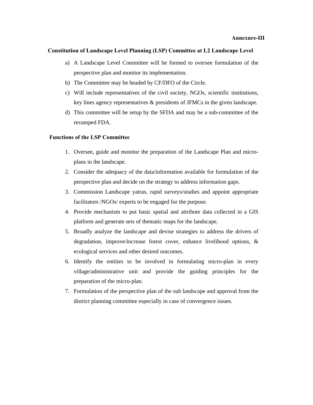## **Constitution of Landscape Level Planning (LSP) Committee at L2 Landscape Level**

- a) A Landscape Level Committee will be formed to oversee formulation of the perspective plan and monitor its implementation.
- b) The Committee may be headed by CF/DFO of the Circle.
- c) Will include representatives of the civil society, NGOs, scientific institutions, key lines agency representatives & presidents of JFMCs in the given landscape.
- d) This committee will be setup by the SFDA and may be a sub-committee of the revamped FDA.

#### **Functions of the LSP Committee**

- 1. Oversee, guide and monitor the preparation of the Landscape Plan and microplans in the landscape.
- 2. Consider the adequacy of the data/information available for formulation of the perspective plan and decide on the strategy to address information gaps.
- 3. Commission Landscape yatras, rapid surveys/studies and appoint appropriate facilitators /NGOs/ experts to be engaged for the purpose.
- 4. Provide mechanism to put basic spatial and attribute data collected in a GIS platform and generate sets of thematic maps for the landscape.
- 5. Broadly analyze the landscape and devise strategies to address the drivers of degradation, improve/increase forest cover, enhance livelihood options, & ecological services and other desired outcomes.
- 6. Identify the entities to be involved in formulating micro-plan in every village/administrative unit and provide the guiding principles for the preparation of the micro-plan.
- 7. Formulation of the perspective plan of the sub landscape and approval from the district planning committee especially in case of convergence issues.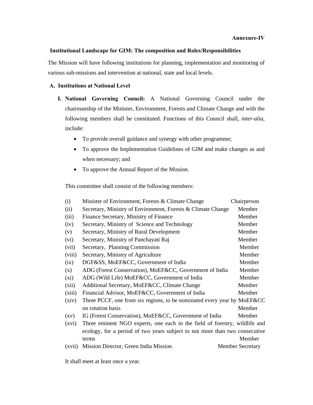## **Institutional Landscape for GIM: The composition and Roles/Responsibilities**

The Mission will have following institutions for planning, implementation and monitoring of various sub-missions and intervention at national, state and local levels.

# **A. Institutions at National Level**

- **I. National Governing Council:** A National Governing Council under the chairmanship of the Minister, Environment, Forests and Climate Change and with the following members shall be constituted. Functions of this Council shall, *inter-alia,* include:
	- To provide overall guidance and synergy with other programme;
	- To approve the Implementation Guidelines of GIM and make changes as and when necessary; and
	- To approve the Annual Report of the Mission.

This committee shall consist of the following members:

| (i)                | Minister of Environment, Forests & Climate Change                           | Chairperson             |
|--------------------|-----------------------------------------------------------------------------|-------------------------|
| (ii)               | Secretary, Ministry of Environment, Forests & Climate Change                | Member                  |
| (iii)              | Finance Secretary, Ministry of Finance                                      | Member                  |
| (iv)               | Secretary, Ministry of Science and Technology                               | Member                  |
| (v)                | Secretary, Ministry of Rural Development                                    | Member                  |
| (vi)               | Secretary, Ministry of Panchayati Raj                                       | Member                  |
| (vii)              | Secretary, Planning Commission                                              | Member                  |
| (viii)             | Secretary, Ministry of Agriculture                                          | Member                  |
| (ix)               | DGF&SS, MoEF&CC, Government of India                                        | Member                  |
| (x)                | ADG (Forest Conservation), MoEF&CC, Government of India                     | Member                  |
| $(x_i)$            | ADG (Wild Life) MoEF&CC, Government of India                                | Member                  |
| (xii)              | Additional Secretary, MoEF&CC, Climate Change                               | Member                  |
| (xiii)             | Financial Advisor, MoEF&CC, Government of India                             | Member                  |
| (xiv)              | Three PCCF, one from six regions, to be nominated every year by MoEF&CC     |                         |
|                    | on rotation basis                                                           | Member                  |
| $\left( xy\right)$ | IG (Forest Conservation), MoEF&CC, Government of India                      | Member                  |
| (xvi)              | Three eminent NGO experts, one each in the field of forestry, wildlife and  |                         |
|                    | ecology, for a period of two years subject to not more than two consecutive |                         |
|                    | terms                                                                       | Member                  |
| (xvii)             | Mission Director, Green India Mission                                       | <b>Member Secretary</b> |

It shall meet at least once a year.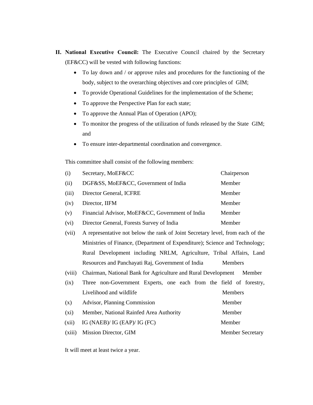- **II. National Executive Council:** The Executive Council chaired by the Secretary (EF&CC) will be vested with following functions:
	- To lay down and / or approve rules and procedures for the functioning of the body, subject to the overarching objectives and core principles of GIM;
	- To provide Operational Guidelines for the implementation of the Scheme;
	- To approve the Perspective Plan for each state;
	- To approve the Annual Plan of Operation (APO);
	- To monitor the progress of the utilization of funds released by the State GIM; and
	- To ensure inter-departmental coordination and convergence.

This committee shall consist of the following members:

| (i)   | Secretary, MoEF&CC                              | Chairperson |
|-------|-------------------------------------------------|-------------|
| (ii)  | DGF&SS, MoEF&CC, Government of India            | Member      |
| (iii) | Director General, ICFRE                         | Member      |
| (iv)  | Director, IIFM                                  | Member      |
| (v)   | Financial Advisor, MoEF&CC, Government of India | Member      |
| (vi)  | Director General, Forests Survey of India       | Member      |

- (vii) A representative not below the rank of Joint Secretary level, from each of the Ministries of Finance, (Department of Expenditure); Science and Technology; Rural Development including NRLM, Agriculture, Tribal Affairs, Land Resources and Panchayati Raj, Government of India Members
- (viii) Chairman, National Bank for Agriculture and Rural Development Member
- (ix) Three non-Government Experts, one each from the field of forestry, Livelihood and wildlife Members (x) Advisor, Planning Commission Member (xi) Member, National Rainfed Area Authority Member
- (xii) IG (NAEB)/ IG (EAP)/ IG (FC) Member
- (xiii) Mission Director, GIM Member Secretary

It will meet at least twice a year.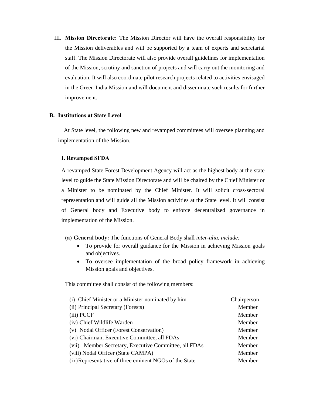III. **Mission Directorate:** The Mission Director will have the overall responsibility for the Mission deliverables and will be supported by a team of experts and secretarial staff. The Mission Directorate will also provide overall guidelines for implementation of the Mission, scrutiny and sanction of projects and will carry out the monitoring and evaluation. It will also coordinate pilot research projects related to activities envisaged in the Green India Mission and will document and disseminate such results for further improvement.

# **B. Institutions at State Level**

 At State level, the following new and revamped committees will oversee planning and implementation of the Mission.

## **I. Revamped SFDA**

A revamped State Forest Development Agency will act as the highest body at the state level to guide the State Mission Directorate and will be chaired by the Chief Minister or a Minister to be nominated by the Chief Minister. It will solicit cross-sectoral representation and will guide all the Mission activities at the State level. It will consist of General body and Executive body to enforce decentralized governance in implementation of the Mission.

#### **(a) General body:** The functions of General Body shall *inter-alia*, *include:*

- To provide for overall guidance for the Mission in achieving Mission goals and objectives.
- To oversee implementation of the broad policy framework in achieving Mission goals and objectives.

This committee shall consist of the following members:

| (i) Chief Minister or a Minister nominated by him     | Chairperson |
|-------------------------------------------------------|-------------|
| (ii) Principal Secretary (Forests)                    | Member      |
| (iii) PCCF                                            | Member      |
| (iv) Chief Wildlife Warden                            | Member      |
| (v) Nodal Officer (Forest Conservation)               | Member      |
| (vi) Chairman, Executive Committee, all FDAs          | Member      |
| (vii) Member Secretary, Executive Committee, all FDAs | Member      |
| (viii) Nodal Officer (State CAMPA)                    | Member      |
| (ix)Representative of three eminent NGOs of the State | Member      |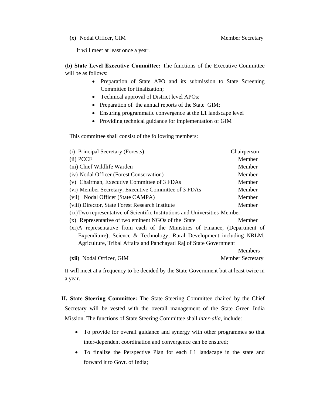It will meet at least once a year.

**(b) State Level Executive Committee:** The functions of the Executive Committee will be as follows:

- Preparation of State APO and its submission to State Screening Committee for finalization;
- Technical approval of District level APOs;
- Preparation of the annual reports of the State GIM;
- Ensuring programmatic convergence at the L1 landscape level
- Providing technical guidance for implementation of GIM

This committee shall consist of the following members:

| (i) Principal Secretary (Forests)                                           | Chairperson             |
|-----------------------------------------------------------------------------|-------------------------|
| (ii) PCCF                                                                   | Member                  |
| (iii) Chief Wildlife Warden                                                 | Member                  |
| (iv) Nodal Officer (Forest Conservation)                                    | Member                  |
| (v) Chairman, Executive Committee of 3 FDAs                                 | Member                  |
| (vi) Member Secretary, Executive Committee of 3 FDAs                        | Member                  |
| (vii) Nodal Officer (State CAMPA)                                           | Member                  |
| (viii) Director, State Forest Research Institute                            | Member                  |
| (ix) Two representative of Scientific Institutions and Universities Member  |                         |
| (x) Representative of two eminent NGOs of the State                         | Member                  |
| (xi)A representative from each of the Ministries of Finance, (Department of |                         |
| Expenditure); Science & Technology; Rural Development including NRLM,       |                         |
| Agriculture, Tribal Affairs and Panchayati Raj of State Government          |                         |
|                                                                             | <b>Members</b>          |
| (xii) Nodal Officer, GIM                                                    | <b>Member Secretary</b> |

It will meet at a frequency to be decided by the State Government but at least twice in a year.

**II. State Steering Committee:** The State Steering Committee chaired by the Chief Secretary will be vested with the overall management of the State Green India Mission. The functions of State Steering Committee shall *inter-alia*, include:

- To provide for overall guidance and synergy with other programmes so that inter-dependent coordination and convergence can be ensured;
- To finalize the Perspective Plan for each L1 landscape in the state and forward it to Govt. of India;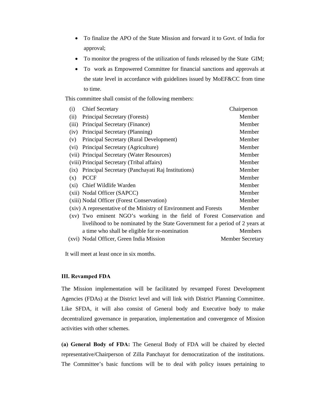- To finalize the APO of the State Mission and forward it to Govt. of India for approval;
- To monitor the progress of the utilization of funds released by the State GIM;
- To work as Empowered Committee for financial sanctions and approvals at the state level in accordance with guidelines issued by MoEF&CC from time to time.

This committee shall consist of the following members:

| (i)   | <b>Chief Secretary</b>                                                        | Chairperson             |
|-------|-------------------------------------------------------------------------------|-------------------------|
| (ii)  | Principal Secretary (Forests)                                                 | Member                  |
| (iii) | Principal Secretary (Finance)                                                 | Member                  |
| (iv)  | Principal Secretary (Planning)                                                | Member                  |
| (v)   | Principal Secretary (Rural Development)                                       | Member                  |
| (vi)  | Principal Secretary (Agriculture)                                             | Member                  |
|       | (vii) Principal Secretary (Water Resources)                                   | Member                  |
|       | (viii) Principal Secretary (Tribal affairs)                                   | Member                  |
| (ix)  | Principal Secretary (Panchayati Raj Institutions)                             | Member                  |
| (x)   | <b>PCCF</b>                                                                   | Member                  |
| (xi)  | Chief Wildlife Warden                                                         | Member                  |
|       | (xii) Nodal Officer (SAPCC)                                                   | Member                  |
|       | (xiii) Nodal Officer (Forest Conservation)                                    | Member                  |
|       | (xiv) A representative of the Ministry of Environment and Forests             | Member                  |
|       | (xv) Two eminent NGO's working in the field of Forest Conservation and        |                         |
|       | livelihood to be nominated by the State Government for a period of 2 years at |                         |
|       | a time who shall be eligible for re-nomination                                | <b>Members</b>          |
|       | (xvi) Nodal Officer, Green India Mission                                      | <b>Member Secretary</b> |

It will meet at least once in six months.

#### **III. Revamped FDA**

The Mission implementation will be facilitated by revamped Forest Development Agencies (FDAs) at the District level and will link with District Planning Committee. Like SFDA, it will also consist of General body and Executive body to make decentralized governance in preparation, implementation and convergence of Mission activities with other schemes.

**(a) General Body of FDA:** The General Body of FDA will be chaired by elected representative/Chairperson of Zilla Panchayat for democratization of the institutions. The Committee's basic functions will be to deal with policy issues pertaining to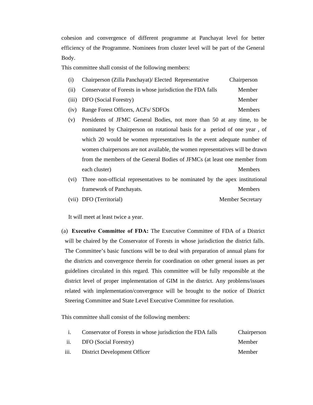cohesion and convergence of different programme at Panchayat level for better efficiency of the Programme. Nominees from cluster level will be part of the General Body.

This committee shall consist of the following members:

- (i) Chairperson (Zilla Panchayat)/ Elected Representative Chairperson
- (ii) Conservator of Forests in whose jurisdiction the FDA falls Member
- (iii) DFO (Social Forestry) Member
- (iv) Range Forest Officers, ACFs/ SDFOs Members
- (v) Presidents of JFMC General Bodies, not more than 50 at any time, to be nominated by Chairperson on rotational basis for a period of one year , of which 20 would be women representatives In the event adequate number of women chairpersons are not available, the women representatives will be drawn from the members of the General Bodies of JFMCs (at least one member from each cluster) Members
- (vi) Three non-official representatives to be nominated by the apex institutional framework of Panchayats. Members
- (vii) DFO (Territorial) Member Secretary

It will meet at least twice a year.

(a) **Executive Committee of FDA:** The Executive Committee of FDA of a District will be chaired by the Conservator of Forests in whose jurisdiction the district falls. The Committee's basic functions will be to deal with preparation of annual plans for the districts and convergence therein for coordination on other general issues as per guidelines circulated in this regard. This committee will be fully responsible at the district level of proper implementation of GIM in the district. Any problems/issues related with implementation/convergence will be brought to the notice of District Steering Committee and State Level Executive Committee for resolution.

This committee shall consist of the following members:

|      | Conservator of Forests in whose jurisdiction the FDA falls | Chairperson |
|------|------------------------------------------------------------|-------------|
| ii.  | DFO (Social Forestry)                                      | Member      |
| iii. | District Development Officer                               | Member      |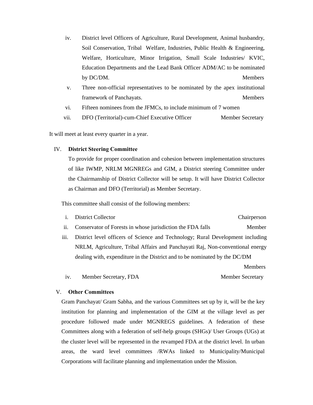- iv. District level Officers of Agriculture, Rural Development, Animal husbandry, Soil Conservation, Tribal Welfare, Industries, Public Health & Engineering, Welfare, Horticulture, Minor Irrigation, Small Scale Industries/ KVIC, Education Departments and the Lead Bank Officer ADM/AC to be nominated by DC/DM. Members
- v. Three non-official representatives to be nominated by the apex institutional framework of Panchayats. Members
- vi. Fifteen nominees from the JFMCs, to include minimum of 7 women
- vii. DFO (Territorial)-cum-Chief Executive Officer Member Secretary

It will meet at least every quarter in a year.

#### IV. **District Steering Committee**

To provide for proper coordination and cohesion between implementation structures of like IWMP, NRLM MGNREGs and GIM, a District steering Committee under the Chairmanship of District Collector will be setup. It will have District Collector as Chairman and DFO (Territorial) as Member Secretary.

This committee shall consist of the following members:

- i. District Collector Chairperson
- ii. Conservator of Forests in whose jurisdiction the FDA falls Member
- iii. District level officers of Science and Technology; Rural Development including NRLM, Agriculture, Tribal Affairs and Panchayati Raj, Non-conventional energy dealing with, expenditure in the District and to be nominated by the DC/DM

Members

iv. Member Secretary, FDA Member Secretary

#### V. **Other Committees**

Gram Panchayat/ Gram Sabha, and the various Committees set up by it, will be the key institution for planning and implementation of the GIM at the village level as per procedure followed made under MGNREGS guidelines. A federation of these Committees along with a federation of self-help groups (SHGs)/ User Groups (UGs) at the cluster level will be represented in the revamped FDA at the district level. In urban areas, the ward level committees /RWAs linked to Municipality/Municipal Corporations will facilitate planning and implementation under the Mission.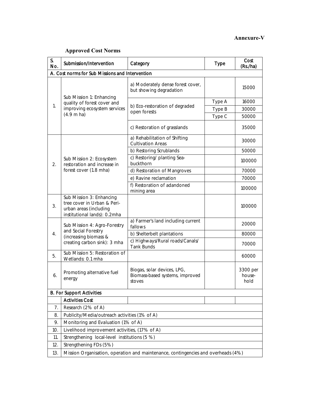# **Annexure-V**

# **Approved Cost Norms**

| S.<br>No.                                       | Submission/Intervention                                                                                           | Category                                                                 | <b>Type</b> | Cost<br>(Rs./ha)           |  |  |  |  |  |  |
|-------------------------------------------------|-------------------------------------------------------------------------------------------------------------------|--------------------------------------------------------------------------|-------------|----------------------------|--|--|--|--|--|--|
| A. Cost norms for Sub Missions and Intervention |                                                                                                                   |                                                                          |             |                            |  |  |  |  |  |  |
|                                                 | Sub Mission 1: Enhancing<br>quality of forest cover and                                                           | a) Moderately dense forest cover,<br>but showing degradation             |             | 15000                      |  |  |  |  |  |  |
|                                                 |                                                                                                                   |                                                                          | Type A      | 16000                      |  |  |  |  |  |  |
| 1.                                              | improving ecosystem services                                                                                      | b) Eco-restoration of degraded<br>open forests                           | Type B      | 30000                      |  |  |  |  |  |  |
|                                                 | $(4.9 \text{ m} \text{ ha})$                                                                                      |                                                                          | Type C      | 50000                      |  |  |  |  |  |  |
|                                                 |                                                                                                                   | c) Restoration of grasslands                                             |             | 35000                      |  |  |  |  |  |  |
|                                                 |                                                                                                                   | a) Rehabilitation of Shifting<br><b>Cultivation Areas</b>                |             | 30000                      |  |  |  |  |  |  |
|                                                 |                                                                                                                   | b) Restoring Scrublands                                                  |             | 50000                      |  |  |  |  |  |  |
| 2.                                              | Sub Mission 2: Ecosystem<br>restoration and increase in                                                           | c) Restoring/ planting Sea-<br>buckthorn                                 |             | 100000                     |  |  |  |  |  |  |
|                                                 | forest cover (1.8 mha)                                                                                            | d) Restoration of Mangroves                                              |             | 70000                      |  |  |  |  |  |  |
|                                                 |                                                                                                                   | e) Ravine reclamation                                                    |             | 70000                      |  |  |  |  |  |  |
|                                                 |                                                                                                                   | f) Restoration of adandoned<br>mining area                               |             | 100000                     |  |  |  |  |  |  |
| 3.                                              | Sub Mission 3: Enhancing<br>tree cover in Urban & Peri-<br>urban areas (including<br>institutional lands): 0.2mha |                                                                          |             | 100000                     |  |  |  |  |  |  |
|                                                 | Sub Mission 4: Agro-Forestry                                                                                      | a) Farmer's land including current<br>fallows                            |             | 20000                      |  |  |  |  |  |  |
| 4.                                              | and Social Forestry<br>(increasing biomass &                                                                      | b) Shelterbelt plantations                                               |             | 80000                      |  |  |  |  |  |  |
|                                                 | creating carbon sink): 3 mha                                                                                      | c) Highways/Rural roads/Canals/<br><b>Tank Bunds</b>                     |             | 70000                      |  |  |  |  |  |  |
| 5.                                              | Sub Mission 5: Restoration of<br>Wetlands: 0.1 mha                                                                |                                                                          |             | 60000                      |  |  |  |  |  |  |
| 6.                                              | Promoting alternative fuel<br>energy                                                                              | Biogas, solar devices, LPG,<br>Biomass-based systems, improved<br>stoves |             | 3300 per<br>house-<br>hold |  |  |  |  |  |  |
|                                                 | <b>B. For Support Activities</b>                                                                                  |                                                                          |             |                            |  |  |  |  |  |  |
|                                                 | <b>Activities Cost</b>                                                                                            |                                                                          |             |                            |  |  |  |  |  |  |
| 7.                                              | Research (2% of A)                                                                                                |                                                                          |             |                            |  |  |  |  |  |  |
| 8.                                              | Publicity/Media/outreach activities (1% of A)                                                                     |                                                                          |             |                            |  |  |  |  |  |  |
| 9.                                              | Monitoring and Evaluation (1% of A)                                                                               |                                                                          |             |                            |  |  |  |  |  |  |
| 10.                                             | Livelihood improvement activities, (17% of A)                                                                     |                                                                          |             |                            |  |  |  |  |  |  |
| 11.                                             | Strengthening local-level institutions (5 %)                                                                      |                                                                          |             |                            |  |  |  |  |  |  |
| 12.                                             | Strengthening FDs (5%)                                                                                            |                                                                          |             |                            |  |  |  |  |  |  |
| 13.                                             | Mission Organisation, operation and maintenance, contingencies and overheads (4%)                                 |                                                                          |             |                            |  |  |  |  |  |  |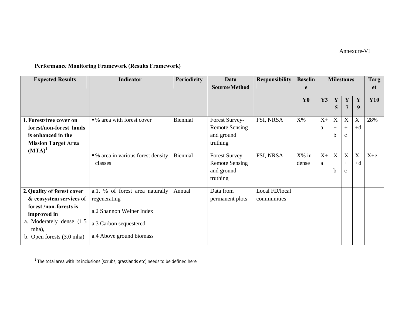# Annexure-VI

# **Performance Monitoring Framework (Results Framework)**

| <b>Expected Results</b>             | <b>Indicator</b>                   | <b>Periodicity</b> | Data                  | <b>Responsibility</b> | <b>Baselin</b> | <b>Milestones</b> |     |                  | Targ             |            |
|-------------------------------------|------------------------------------|--------------------|-----------------------|-----------------------|----------------|-------------------|-----|------------------|------------------|------------|
|                                     |                                    |                    | Source/Method         |                       | e              |                   |     |                  | <b>et</b>        |            |
|                                     |                                    |                    |                       |                       | Y <sub>0</sub> | Y3                | Y   | Y                | $\mathbf Y$      | <b>Y10</b> |
|                                     |                                    |                    |                       |                       |                |                   | 5   | $\overline{7}$   | 9                |            |
|                                     |                                    |                    |                       |                       |                |                   |     |                  |                  |            |
| 1. Forest/tree cover on             | • % area with forest cover         | Biennial           | Forest Survey-        | FSI, NRSA             | $X\%$          | $X+$              | X   | $\mathbf X$      | $\mathbf X$      | 28%        |
| forest/non-forest lands             |                                    |                    | <b>Remote Sensing</b> |                       |                | a                 | $+$ | $+$              | $+d$             |            |
| is enhanced in the                  |                                    |                    | and ground            |                       |                |                   | b   | $\mathbf{C}$     |                  |            |
| <b>Mission Target Area</b>          |                                    |                    | truthing              |                       |                |                   |     |                  |                  |            |
| $(MTA)^1$                           |                                    |                    |                       |                       |                |                   |     |                  |                  |            |
|                                     | • % area in various forest density | Biennial           | Forest Survey-        | FSI, NRSA             | X% in          | $X+$              | X   | $\boldsymbol{X}$ | $\boldsymbol{X}$ | $X + e$    |
|                                     | classes                            |                    | <b>Remote Sensing</b> |                       | dense          | a                 | $+$ | $+$              | $+d$             |            |
|                                     |                                    |                    | and ground            |                       |                |                   | b   | $\mathbf{C}$     |                  |            |
|                                     |                                    |                    | truthing              |                       |                |                   |     |                  |                  |            |
| 2. Quality of forest cover          | a.1. % of forest area naturally    | Annual             | Data from             | Local FD/local        |                |                   |     |                  |                  |            |
| & ecosystem services of             | regenerating                       |                    | permanent plots       | communities           |                |                   |     |                  |                  |            |
| forest /non-forests is              |                                    |                    |                       |                       |                |                   |     |                  |                  |            |
| improved in                         | a.2 Shannon Weiner Index           |                    |                       |                       |                |                   |     |                  |                  |            |
| a. Moderately dense (1.5)           | a.3 Carbon sequestered             |                    |                       |                       |                |                   |     |                  |                  |            |
| mha),                               |                                    |                    |                       |                       |                |                   |     |                  |                  |            |
| b. Open forests $(3.0 \text{ mha})$ | a.4 Above ground biomass           |                    |                       |                       |                |                   |     |                  |                  |            |
|                                     |                                    |                    |                       |                       |                |                   |     |                  |                  |            |

 $^1$  The total area with its inclusions (scrubs, grasslands etc) needs to be defined here

l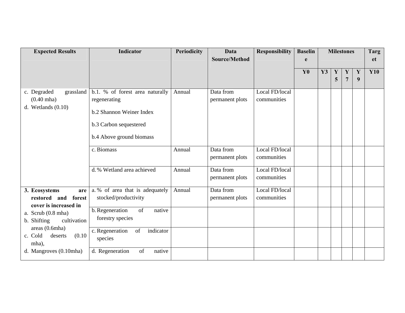| <b>Expected Results</b>                                              | <b>Indicator</b>                                                                                                                  | <b>Periodicity</b> | Data<br>Source/Method        | <b>Responsibility</b>         | <b>Baselin</b><br>e | <b>Milestones</b> |                  |                               | <b>Targ</b><br><b>et</b> |            |
|----------------------------------------------------------------------|-----------------------------------------------------------------------------------------------------------------------------------|--------------------|------------------------------|-------------------------------|---------------------|-------------------|------------------|-------------------------------|--------------------------|------------|
|                                                                      |                                                                                                                                   |                    |                              |                               | Y <sub>0</sub>      | Y3                | $\mathbf Y$<br>5 | $\mathbf Y$<br>$\overline{7}$ | Y<br>9                   | <b>Y10</b> |
| c. Degraded<br>grassland<br>$(0.40$ mha)<br>d. Wetlands $(0.10)$     | b.1. % of forest area naturally<br>regenerating<br>b.2 Shannon Weiner Index<br>b.3 Carbon sequestered<br>b.4 Above ground biomass | Annual             | Data from<br>permanent plots | Local FD/local<br>communities |                     |                   |                  |                               |                          |            |
|                                                                      | c. Biomass                                                                                                                        | Annual             | Data from<br>permanent plots | Local FD/local<br>communities |                     |                   |                  |                               |                          |            |
|                                                                      | d.% Wetland area achieved                                                                                                         | Annual             | Data from<br>permanent plots | Local FD/local<br>communities |                     |                   |                  |                               |                          |            |
| 3. Ecosystems<br>are<br>restored and forest<br>cover is increased in | a. % of area that is adequately<br>stocked/productivity                                                                           | Annual             | Data from<br>permanent plots | Local FD/local<br>communities |                     |                   |                  |                               |                          |            |
| a. Scrub $(0.8 \text{ mha})$<br>b. Shifting<br>cultivation           | b. Regeneration<br>of<br>native<br>forestry species                                                                               |                    |                              |                               |                     |                   |                  |                               |                          |            |
| areas (0.6mha)<br>c. Cold<br>(0.10)<br>deserts<br>mha),              | c. Regeneration<br>indicator<br>of<br>species                                                                                     |                    |                              |                               |                     |                   |                  |                               |                          |            |
| d. Mangroves (0.10mha)                                               | d. Regeneration<br>of<br>native                                                                                                   |                    |                              |                               |                     |                   |                  |                               |                          |            |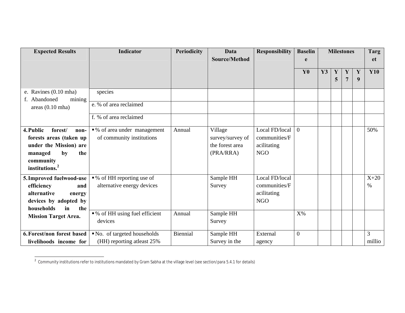| <b>Expected Results</b>                         | <b>Indicator</b>               | <b>Periodicity</b> | Data             | <b>Responsibility</b> | <b>Baselin</b> | <b>Milestones</b> |              |                | <b>Targ</b> |            |
|-------------------------------------------------|--------------------------------|--------------------|------------------|-----------------------|----------------|-------------------|--------------|----------------|-------------|------------|
|                                                 |                                |                    | Source/Method    |                       | e              |                   |              | <b>et</b>      |             |            |
|                                                 |                                |                    |                  |                       | Y <sub>0</sub> | Y3                | $\mathbf{Y}$ | Y              | $\mathbf Y$ | <b>Y10</b> |
|                                                 |                                |                    |                  |                       |                |                   | 5            | $\overline{7}$ | 9           |            |
|                                                 |                                |                    |                  |                       |                |                   |              |                |             |            |
| e. Ravines (0.10 mha)<br>f. Abandoned<br>mining | species                        |                    |                  |                       |                |                   |              |                |             |            |
| areas $(0.10 \text{ mha})$                      | e. % of area reclaimed         |                    |                  |                       |                |                   |              |                |             |            |
|                                                 | f. % of area reclaimed         |                    |                  |                       |                |                   |              |                |             |            |
| 4. Public<br>forest/<br>non-                    | •% of area under management    | Annual             | Village          | Local FD/local        | $\overline{0}$ |                   |              |                |             | 50%        |
| forests areas (taken up                         | of community institutions      |                    | survey/survey of | communities/F         |                |                   |              |                |             |            |
| under the Mission) are                          |                                |                    | the forest area  | acilitating           |                |                   |              |                |             |            |
| by<br>managed<br>the                            |                                |                    | (PRA/RRA)        | <b>NGO</b>            |                |                   |              |                |             |            |
| community                                       |                                |                    |                  |                       |                |                   |              |                |             |            |
| institutions. <sup>2</sup>                      |                                |                    |                  |                       |                |                   |              |                |             |            |
| 5. Improved fuelwood-use                        | • % of HH reporting use of     |                    | Sample HH        | Local FD/local        |                |                   |              |                |             | $X+20$     |
| efficiency<br>and                               | alternative energy devices     |                    | Survey           | communities/F         |                |                   |              |                |             | $\%$       |
| alternative<br>energy                           |                                |                    |                  | acilitating           |                |                   |              |                |             |            |
| devices by adopted by                           |                                |                    |                  | <b>NGO</b>            |                |                   |              |                |             |            |
| households<br>the<br>in                         |                                |                    |                  |                       |                |                   |              |                |             |            |
| <b>Mission Target Area.</b>                     | • % of HH using fuel efficient | Annual             | Sample HH        |                       | $X\%$          |                   |              |                |             |            |
|                                                 | devices                        |                    | Survey           |                       |                |                   |              |                |             |            |
| 6. Forest/non forest based                      | No. of targeted households     | Biennial           | Sample HH        | External              | $\overline{0}$ |                   |              |                |             | 3          |
| livelihoods income for                          | (HH) reporting atleast 25%     |                    | Survey in the    | agency                |                |                   |              |                |             | millio     |

 $^2$  Community institutions refer to institutions mandated by Gram Sabha at the village level (see section/para 5.4.1 for details)

 $\mathbb{Z}$ 

l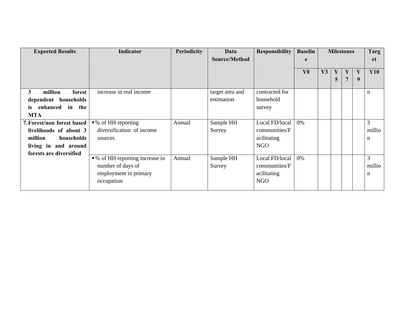| <b>Expected Results</b>      | Indicator                       | <b>Periodicity</b> | Data            | <b>Responsibility</b> | <b>Baselin</b> | <b>Milestones</b> | Targ           |                |           |            |
|------------------------------|---------------------------------|--------------------|-----------------|-----------------------|----------------|-------------------|----------------|----------------|-----------|------------|
|                              |                                 |                    | Source/Method   |                       | e              |                   |                |                | <b>et</b> |            |
|                              |                                 |                    |                 |                       | YO             | Y3                | Y              | Y              | Y         | <b>Y10</b> |
|                              |                                 |                    |                 |                       |                |                   | 5 <sup>5</sup> | $\overline{7}$ | 9         |            |
|                              |                                 |                    |                 |                       |                |                   |                |                |           |            |
| million<br>3<br>forest       | increase in real income         |                    | target area and | contracted for        |                |                   |                |                |           | n          |
| dependent households         |                                 |                    | estimation      | household             |                |                   |                |                |           |            |
| enhanced in the<br><i>is</i> |                                 |                    |                 | survey                |                |                   |                |                |           |            |
| <b>MTA</b>                   |                                 |                    |                 |                       |                |                   |                |                |           |            |
| 7. Forest/non forest based   | • % of HH reporting             | Annual             | Sample HH       | Local FD/local        | 0%             |                   |                |                |           | 3          |
| livelihoods of about 3       | diversification of income       |                    | Survey          | communities/F         |                |                   |                |                |           | millio     |
| million<br>households        | sources                         |                    |                 | acilitating           |                |                   |                |                |           | n          |
| living in and around         |                                 |                    |                 | <b>NGO</b>            |                |                   |                |                |           |            |
| forests are diversified      |                                 |                    |                 |                       |                |                   |                |                |           |            |
|                              | • % of HH reporting increase in | Annual             | Sample HH       | Local FD/local        | 0%             |                   |                |                |           | 3          |
|                              | number of days of               |                    | Survey          | communities/F         |                |                   |                |                |           | millio     |
|                              | employment in primary           |                    |                 | acilitating           |                |                   |                |                |           | n          |
|                              | occupation                      |                    |                 | <b>NGO</b>            |                |                   |                |                |           |            |
|                              |                                 |                    |                 |                       |                |                   |                |                |           |            |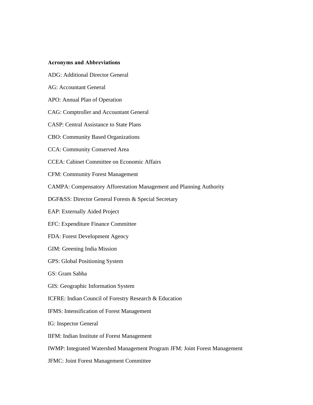#### **Acronyms and Abbreviations**

- ADG: Additional Director General
- AG: Accountant General
- APO: Annual Plan of Operation
- CAG: Comptroller and Accountant General
- CASP: Central Assistance to State Plans
- CBO: Community Based Organizations
- CCA: Community Conserved Area
- CCEA: Cabinet Committee on Economic Affairs
- CFM: Community Forest Management
- CAMPA: Compensatory Afforestation Management and Planning Authority
- DGF&SS: Director General Forests & Special Secretary
- EAP: Externally Aided Project
- EFC: Expenditure Finance Committee
- FDA: Forest Development Agency
- GIM: Greening India Mission
- GPS: Global Positioning System
- GS: Gram Sabha
- GIS: Geographic Information System
- ICFRE: Indian Council of Forestry Research & Education
- IFMS: Intensification of Forest Management
- IG: Inspector General
- IIFM: Indian Institute of Forest Management
- IWMP: Integrated Watershed Management Program JFM: Joint Forest Management
- JFMC: Joint Forest Management Committee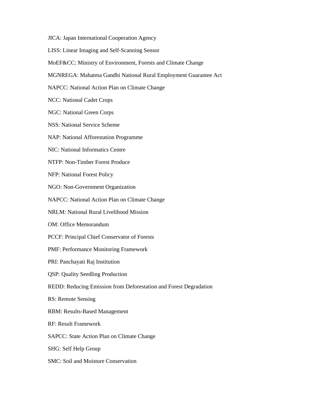JICA: Japan International Cooperation Agency

LISS: Linear Imaging and Self-Scanning Sensor

MoEF&CC: Ministry of Environment, Forests and Climate Change

MGNREGA: Mahatma Gandhi National Rural Employment Guarantee Act

NAPCC: National Action Plan on Climate Change

NCC: National Cadet Crops

NGC: National Green Corps

NSS: National Service Scheme

NAP: National Afforestation Programme

NIC: National Informatics Centre

NTFP: Non-Timber Forest Produce

NFP: National Forest Policy

NGO: Non-Government Organization

NAPCC: National Action Plan on Climate Change

NRLM: National Rural Livelihood Mission

OM: Office Memorandum

PCCF: Principal Chief Conservator of Forests

PMF: Performance Monitoring Framework

PRI: Panchayati Raj Institution

QSP: Quality Seedling Production

REDD: Reducing Emission from Deforestation and Forest Degradation

RS: Remote Sensing

RBM: Results-Based Management

RF: Result Framework

SAPCC: State Action Plan on Climate Change

SHG: Self Help Group

SMC: Soil and Moisture Conservation